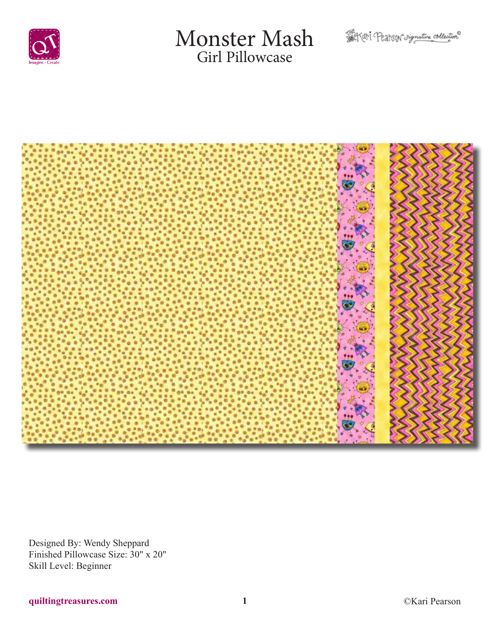

# Monster Mash Girl Pillowcase





Designed By: Wendy Sheppard Finished Pillowcase Size: 30" x 20" Skill Level: Beginner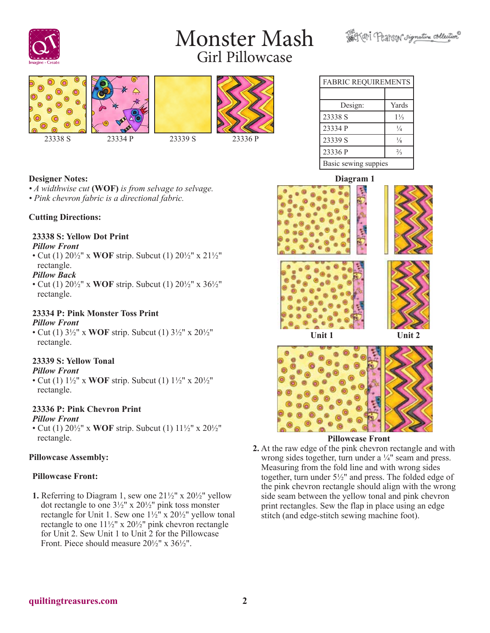# Monster Mash Girl Pillowcase









| <b>FABRIC REQUIREMENTS</b> |                |
|----------------------------|----------------|
|                            |                |
| Design:                    | Yards          |
| 23338 S                    | $1\frac{1}{3}$ |
| 23334 P                    | $\frac{1}{4}$  |
| 23339 S                    | $\frac{1}{8}$  |
| 23336 P                    | $\frac{2}{3}$  |

### **Designer Notes:**

*• A widthwise cut* **(WOF)** *is from selvage to selvage. • Pink chevron fabric is a directional fabric.*

### **Cutting Directions:**

### **23338 S: Yellow Dot Print**

### *Pillow Front*

• Cut (1) 20½" x **WOF** strip. Subcut (1) 20½" x 21½" rectangle.

### *Pillow Back*

• Cut (1) 20½" x **WOF** strip. Subcut (1) 20½" x 36½" rectangle.

#### **23334 P: Pink Monster Toss Print** *Pillow Front*

• Cut (1) 3½" x **WOF** strip. Subcut (1) 3½" x 20½" rectangle.

### **23339 S: Yellow Tonal**

### *Pillow Front*

• Cut (1) 1½" x **WOF** strip. Subcut (1) 1½" x 20½" rectangle.

### **23336 P: Pink Chevron Print**

### *Pillow Front*

• Cut (1) 20½" x **WOF** strip. Subcut (1) 11½" x 20½" rectangle.

### **Pillowcase Assembly:**

### **Pillowcase Front:**

**1.** Referring to Diagram 1, sew one  $21\frac{1}{2}$ " x  $20\frac{1}{2}$ " yellow dot rectangle to one 3½" x 20½" pink toss monster rectangle for Unit 1. Sew one  $1\frac{1}{2}$ " x  $20\frac{1}{2}$ " yellow tonal rectangle to one 11½" x 20½" pink chevron rectangle for Unit 2. Sew Unit 1 to Unit 2 for the Pillowcase Front. Piece should measure  $20\frac{1}{2}$ " x  $36\frac{1}{2}$ ".

### Basic sewing suppies **Diagram 1**





### **Pillowcase Front**

**2.** At the raw edge of the pink chevron rectangle and with wrong sides together, turn under a ¼" seam and press. Measuring from the fold line and with wrong sides together, turn under 5½" and press. The folded edge of the pink chevron rectangle should align with the wrong side seam between the yellow tonal and pink chevron print rectangles. Sew the flap in place using an edge stitch (and edge-stitch sewing machine foot).